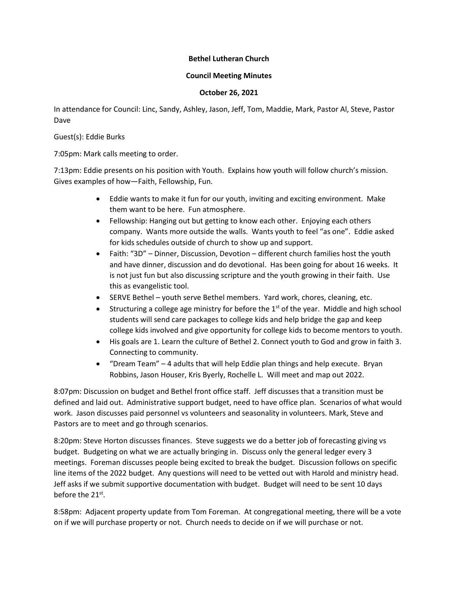## **Bethel Lutheran Church**

## **Council Meeting Minutes**

## **October 26, 2021**

In attendance for Council: Linc, Sandy, Ashley, Jason, Jeff, Tom, Maddie, Mark, Pastor Al, Steve, Pastor Dave

Guest(s): Eddie Burks

7:05pm: Mark calls meeting to order.

7:13pm: Eddie presents on his position with Youth. Explains how youth will follow church's mission. Gives examples of how—Faith, Fellowship, Fun.

- Eddie wants to make it fun for our youth, inviting and exciting environment. Make them want to be here. Fun atmosphere.
- Fellowship: Hanging out but getting to know each other. Enjoying each others company. Wants more outside the walls. Wants youth to feel "as one". Eddie asked for kids schedules outside of church to show up and support.
- Faith: "3D" Dinner, Discussion, Devotion different church families host the youth and have dinner, discussion and do devotional. Has been going for about 16 weeks. It is not just fun but also discussing scripture and the youth growing in their faith. Use this as evangelistic tool.
- SERVE Bethel youth serve Bethel members. Yard work, chores, cleaning, etc.
- **Structuring a college age ministry for before the 1st of the year. Middle and high school** students will send care packages to college kids and help bridge the gap and keep college kids involved and give opportunity for college kids to become mentors to youth.
- His goals are 1. Learn the culture of Bethel 2. Connect youth to God and grow in faith 3. Connecting to community.
- "Dream Team" 4 adults that will help Eddie plan things and help execute. Bryan Robbins, Jason Houser, Kris Byerly, Rochelle L. Will meet and map out 2022.

8:07pm: Discussion on budget and Bethel front office staff. Jeff discusses that a transition must be defined and laid out. Administrative support budget, need to have office plan. Scenarios of what would work. Jason discusses paid personnel vs volunteers and seasonality in volunteers. Mark, Steve and Pastors are to meet and go through scenarios.

8:20pm: Steve Horton discusses finances. Steve suggests we do a better job of forecasting giving vs budget. Budgeting on what we are actually bringing in. Discuss only the general ledger every 3 meetings. Foreman discusses people being excited to break the budget. Discussion follows on specific line items of the 2022 budget. Any questions will need to be vetted out with Harold and ministry head. Jeff asks if we submit supportive documentation with budget. Budget will need to be sent 10 days before the 21<sup>st</sup>.

8:58pm: Adjacent property update from Tom Foreman. At congregational meeting, there will be a vote on if we will purchase property or not. Church needs to decide on if we will purchase or not.